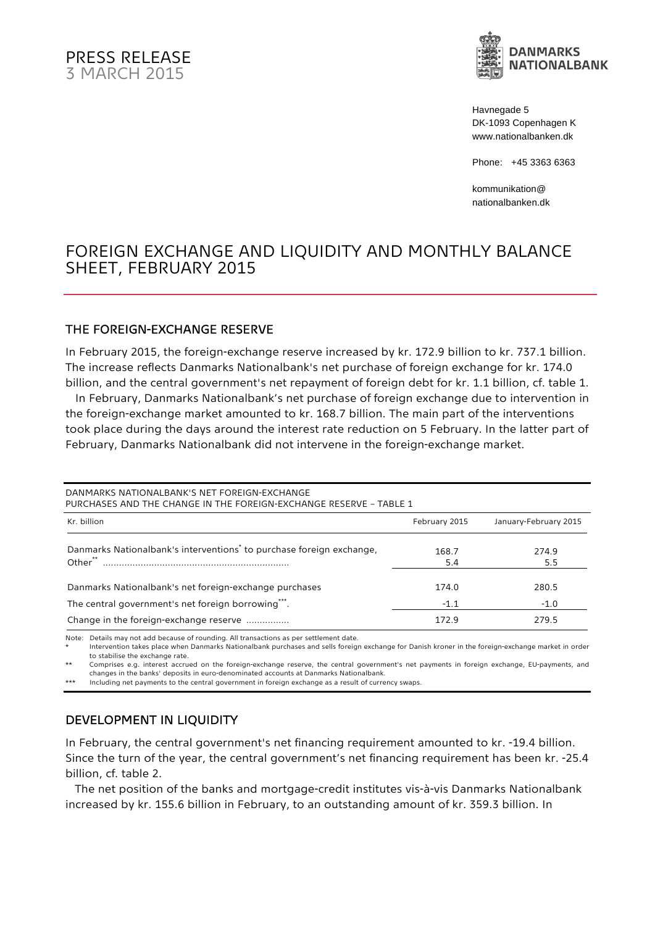

Havnegade 5 DK-1093 Copenhagen K www.nationalbanken.dk

Phone: +45 3363 6363

kommunikation@ nationalbanken.dk

# FOREIGN EXCHANGE AND LIQUIDITY AND MONTHLY BALANCE SHEET, FEBRUARY 2015

#### THE FOREIGN-EXCHANGE RESERVE

In February 2015, the foreign-exchange reserve increased by kr. 172.9 billion to kr. 737.1 billion. The increase reflects Danmarks Nationalbank's net purchase of foreign exchange for kr. 174.0 billion, and the central government's net repayment of foreign debt for kr. 1.1 billion, cf. table 1.

 In February, Danmarks Nationalbank's net purchase of foreign exchange due to intervention in the foreign-exchange market amounted to kr. 168.7 billion. The main part of the interventions took place during the days around the interest rate reduction on 5 February. In the latter part of February, Danmarks Nationalbank did not intervene in the foreign-exchange market.

DANMARKS NATIONALBANK'S NET FOREIGN-EXCHANGE PURCHASES AND THE CHANGE IN THE FOREIGN-EXCHANGE RESERVE – TABLE 1 Kr. billion February 2015 January-February 2015 January-February 2015 January-February 2015 Danmarks Nationalbank's interventions\* to purchase foreign exchange, 168.7 274.9 Other\*\* ..................................................................... 5.4 5.5 Danmarks Nationalbank's net foreign-exchange purchases 174.0 280.5 The central government's net foreign borrowing\*\*\*. The central solution of the state of the state of the state of the state of the state of the state of the state of the state of the state of the state of the state of the Change in the foreign-exchange reserve ................ 172.9 279.5

Note: Details may not add because of rounding. All transactions as per settlement date.

Intervention takes place when Danmarks Nationalbank purchases and sells foreign exchange for Danish kroner in the foreign-exchange market in order to stabilise the exchange rate.

\*\* Comprises e.g. interest accrued on the foreign-exchange reserve, the central government's net payments in foreign exchange, EU-payments, and changes in the banks' deposits in euro-denominated accounts at Danmarks Nationalbank.

\*\*\* Including net payments to the central government in foreign exchange as a result of currency swaps.

### DEVELOPMENT IN LIQUIDITY

In February, the central government's net financing requirement amounted to kr. -19.4 billion. Since the turn of the year, the central government's net financing requirement has been kr. -25.4 billion, cf. table 2.

The net position of the banks and mortgage-credit institutes vis-à-vis Danmarks Nationalbank increased by kr. 155.6 billion in February, to an outstanding amount of kr. 359.3 billion. In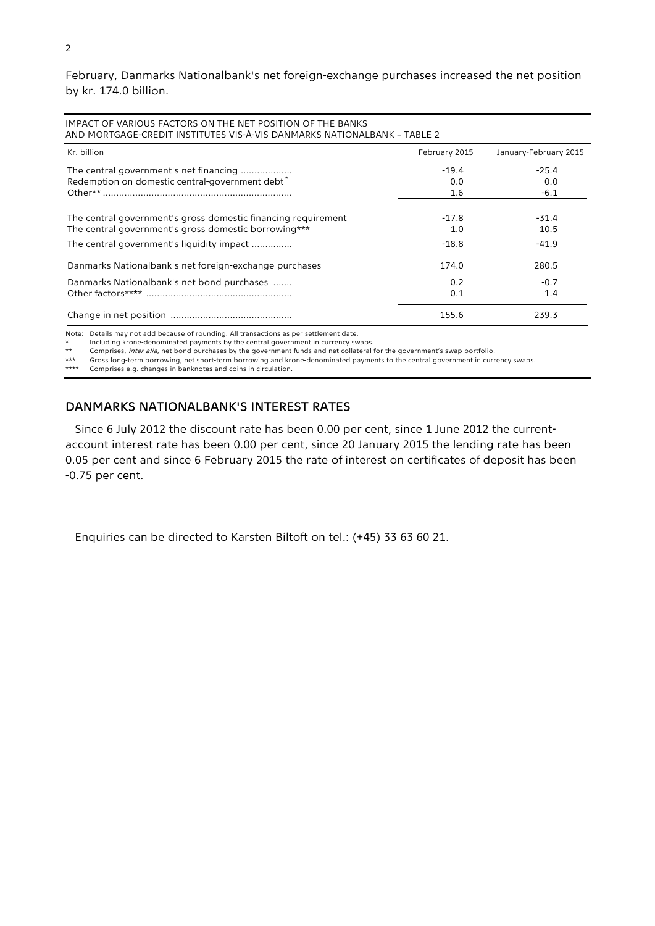February, Danmarks Nationalbank's net foreign-exchange purchases increased the net position by kr. 174.0 billion.

| IMPACT OF VARIOUS FACTORS ON THE NET POSITION OF THE BANKS<br>AND MORTGAGE-CREDIT INSTITUTES VIS-À-VIS DANMARKS NATIONALBANK - TABLE 2 |               |                       |  |  |  |
|----------------------------------------------------------------------------------------------------------------------------------------|---------------|-----------------------|--|--|--|
| Kr. billion                                                                                                                            | February 2015 | January-February 2015 |  |  |  |
| The central government's net financing                                                                                                 | $-19.4$       | $-25.4$               |  |  |  |
| Redemption on domestic central-government debt <sup>*</sup>                                                                            | 0.0           | 0.0                   |  |  |  |
|                                                                                                                                        | 1.6           | $-6.1$                |  |  |  |
| The central government's gross domestic financing requirement                                                                          | $-17.8$       | $-31.4$               |  |  |  |
| The central government's gross domestic borrowing***                                                                                   | 1.0           | 10.5                  |  |  |  |
| The central government's liquidity impact                                                                                              | $-18.8$       | $-41.9$               |  |  |  |
| Danmarks Nationalbank's net foreign-exchange purchases                                                                                 | 174.0         | 280.5                 |  |  |  |
| Danmarks Nationalbank's net bond purchases                                                                                             | 0.2           | $-0.7$                |  |  |  |
|                                                                                                                                        | 0.1           | 1.4                   |  |  |  |
|                                                                                                                                        | 155.6         | 239.3                 |  |  |  |

Note: Details may not add because of rounding. All transactions as per settlement date.

\* Including krone-denominated payments by the central government in currency swaps.

\*\* Comprises, *inter alia*, net bond purchases by the government funds and net collateral for the government's swap portfolio.<br>\*\*\* Gross long-term borrowing, net short-term borrowing and krone-denominated payments to the c

Gross long-term borrowing, net short-term borrowing and krone-denominated payments to the central government in currency swaps. \*\*\*\* Comprises e.g. changes in banknotes and coins in circulation.

### DANMARKS NATIONALBANK'S INTEREST RATES

Since 6 July 2012 the discount rate has been 0.00 per cent, since 1 June 2012 the currentaccount interest rate has been 0.00 per cent, since 20 January 2015 the lending rate has been 0.05 per cent and since 6 February 2015 the rate of interest on certificates of deposit has been -0.75 per cent.

Enquiries can be directed to Karsten Biltoft on tel.: (+45) 33 63 60 21.